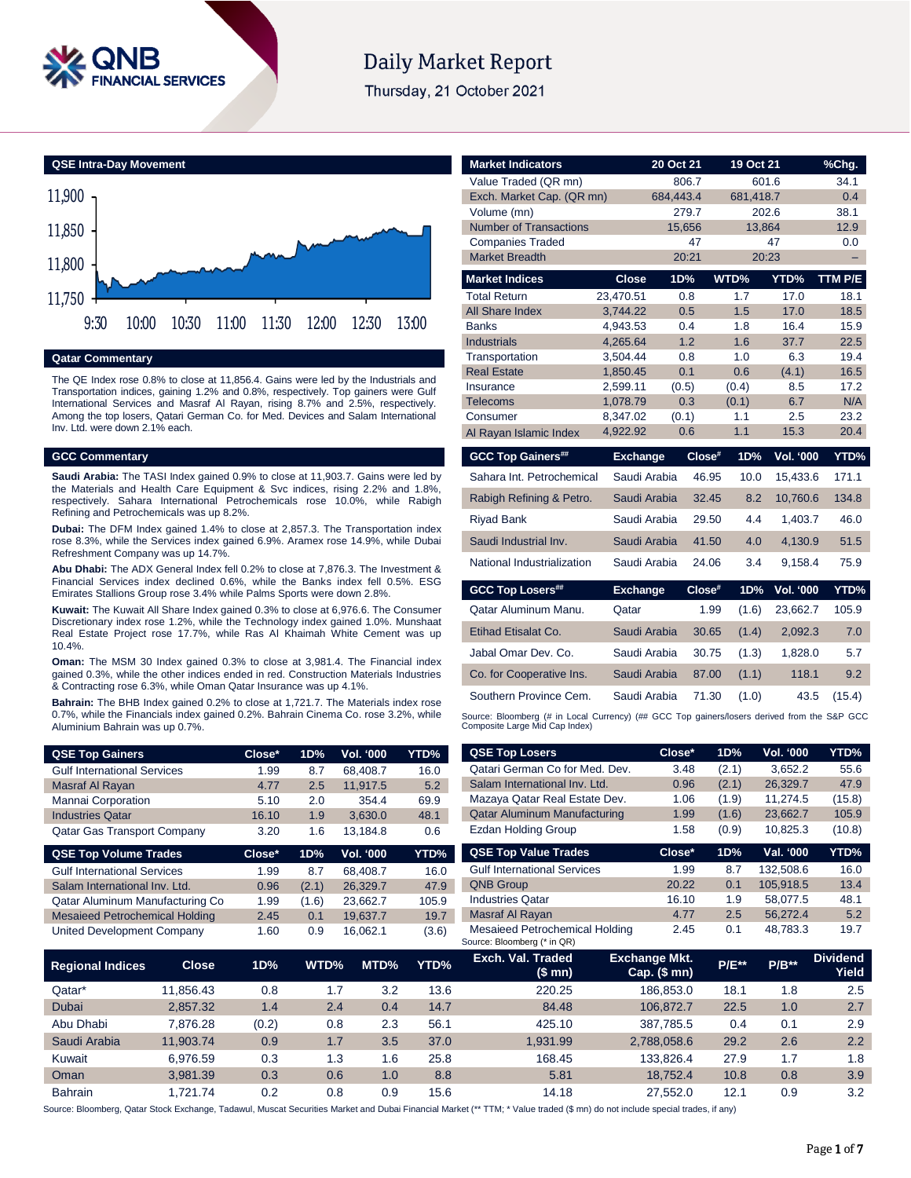

# **Daily Market Report**

Thursday, 21 October 2021



#### **Qatar Commentary**

The QE Index rose 0.8% to close at 11,856.4. Gains were led by the Industrials and Transportation indices, gaining 1.2% and 0.8%, respectively. Top gainers were Gulf International Services and Masraf Al Rayan, rising 8.7% and 2.5%, respectively. Among the top losers, Qatari German Co. for Med. Devices and Salam International Inv. Ltd. were down 2.1% each.

#### **GCC Commentary**

**Saudi Arabia:** The TASI Index gained 0.9% to close at 11,903.7. Gains were led by the Materials and Health Care Equipment & Svc indices, rising 2.2% and 1.8%, respectively. Sahara International Petrochemicals rose 10.0%, while Rabigh Refining and Petrochemicals was up 8.2%.

**Dubai:** The DFM Index gained 1.4% to close at 2,857.3. The Transportation index rose 8.3%, while the Services index gained 6.9%. Aramex rose 14.9%, while Dubai Refreshment Company was up 14.7%.

**Abu Dhabi:** The ADX General Index fell 0.2% to close at 7,876.3. The Investment & Financial Services index declined 0.6%, while the Banks index fell 0.5%. ESG Emirates Stallions Group rose 3.4% while Palms Sports were down 2.8%.

**Kuwait:** The Kuwait All Share Index gained 0.3% to close at 6,976.6. The Consumer Discretionary index rose 1.2%, while the Technology index gained 1.0%. Munshaat Real Estate Project rose 17.7%, while Ras Al Khaimah White Cement was up 10.4%.

**Oman:** The MSM 30 Index gained 0.3% to close at 3,981.4. The Financial index gained 0.3%, while the other indices ended in red. Construction Materials Industries & Contracting rose 6.3%, while Oman Qatar Insurance was up 4.1%.

**Bahrain:** The BHB Index gained 0.2% to close at 1,721.7. The Materials index rose 0.7%, while the Financials index gained 0.2%. Bahrain Cinema Co. rose 3.2%, while Aluminium Bahrain was up 0.7%.

| <b>QSE Top Gainers</b>             | $Close*$ | 1D% | <b>Vol. '000</b> | YTD% |
|------------------------------------|----------|-----|------------------|------|
| <b>Gulf International Services</b> | 1.99     | 8.7 | 68.408.7         | 16.0 |
| Masraf Al Rayan                    | 4.77     | 2.5 | 11.917.5         | 5.2  |
| Mannai Corporation                 | 5.10     | 2.0 | 354.4            | 69.9 |
| <b>Industries Qatar</b>            | 16.10    | 1.9 | 3.630.0          | 48.1 |
| Qatar Gas Transport Company        | 3.20     | 1.6 | 13.184.8         | 0.6  |

| Close* | 1D%   | <b>Vol. '000</b> | YTD%  |
|--------|-------|------------------|-------|
| 1.99   | 8.7   | 68.408.7         | 16.0  |
| 0.96   | (2.1) | 26.329.7         | 47.9  |
| 1.99   | (1.6) | 23.662.7         | 105.9 |
| 2.45   | 0.1   | 19.637.7         | 19.7  |
| 1.60   | 0.9   | 16.062.1         | (3.6) |
|        |       |                  |       |

| <b>Market Indicators</b>                     |                       | 20 Oct 21       | 19 Oct 21     |                  | %Chg.        |
|----------------------------------------------|-----------------------|-----------------|---------------|------------------|--------------|
| Value Traded (QR mn)                         |                       | 806.7           |               | 601.6            | 34.1         |
| Exch. Market Cap. (QR mn)                    |                       | 684,443.4       | 681,418.7     |                  | 0.4          |
| Volume (mn)<br><b>Number of Transactions</b> |                       | 279.7<br>15,656 |               | 202.6<br>13,864  | 38.1<br>12.9 |
| <b>Companies Traded</b>                      |                       | 47              |               | 47               | 0.0          |
| <b>Market Breadth</b>                        |                       | 20:21           |               | 20:23            | ÷,           |
|                                              | <b>Close</b>          | 1D%             | WTD%          |                  |              |
| <b>Market Indices</b>                        |                       |                 |               | YTD%             | TTM P/E      |
| <b>Total Return</b><br>All Share Index       | 23.470.51<br>3.744.22 | 0.8<br>0.5      | 1.7<br>1.5    | 17.0<br>17.0     | 18.1<br>18.5 |
| <b>Banks</b>                                 | 4,943.53              | 0.4             | 1.8           | 16.4             | 15.9         |
| <b>Industrials</b>                           | 4,265.64              | 1.2             | 1.6           | 37.7             | 22.5         |
| Transportation                               | 3,504.44              | 0.8             | 1.0           | 6.3              | 19.4         |
| <b>Real Estate</b>                           | 1,850.45              | 0.1             | 0.6           | (4.1)            | 16.5         |
| Insurance                                    | 2,599.11              | (0.5)           | (0.4)         | 8.5              | 17.2         |
| <b>Telecoms</b>                              | 1,078.79              | 0.3             | (0.1)         | 6.7              | N/A          |
| Consumer                                     | 8,347.02              | (0.1)           | 1.1           | 2.5              | 23.2         |
| Al Rayan Islamic Index                       | 4,922.92              | 0.6             | 1.1           | 15.3             | 20.4         |
|                                              |                       |                 |               |                  |              |
| <b>GCC Top Gainers##</b>                     | <b>Exchange</b>       | Close#          | 1D%           | <b>Vol. '000</b> | YTD%         |
| Sahara Int. Petrochemical                    | Saudi Arabia          | 46.95           | 10.0          | 15,433.6         | 171.1        |
| Rabigh Refining & Petro.                     | Saudi Arabia          | 32.45           | 8.2           | 10,760.6         | 134.8        |
| <b>Riyad Bank</b>                            | Saudi Arabia          | 29.50           | 4.4           | 1,403.7          | 46.0         |
| Saudi Industrial Inv.                        | Saudi Arabia          | 41.50           | 4.0           | 4,130.9          | 51.5         |
| National Industrialization                   | Saudi Arabia          | 24.06           | 3.4           | 9,158.4          | 75.9         |
| <b>GCC Top Losers##</b>                      | <b>Exchange</b>       | Close#          | 1D%           | <b>Vol. '000</b> | YTD%         |
| Qatar Aluminum Manu.                         | Qatar                 |                 | 1.99<br>(1.6) | 23,662.7         | 105.9        |
| <b>Etihad Etisalat Co.</b>                   | Saudi Arabia          | 30.65           | (1.4)         | 2,092.3          | 7.0          |
| Jabal Omar Dev. Co.                          | Saudi Arabia          | 30.75           | (1.3)         | 1.828.0          | 5.7          |
| Co. for Cooperative Ins.                     | Saudi Arabia          | 87.00           | (1.1)         | 118.1            | 9.2          |
| Southern Province Cem.                       | Saudi Arabia          | 71.30           | (1.0)         | 43.5             | (15.4)       |

| <b>QSE Top Gainers</b>                |              | Close* | 1D%   | Vol. '000  | YTD%  | <b>QSE Top Losers</b>                                         | Close*                               | 1D%     | Vol. '000 | YTD%                     |
|---------------------------------------|--------------|--------|-------|------------|-------|---------------------------------------------------------------|--------------------------------------|---------|-----------|--------------------------|
| <b>Gulf International Services</b>    |              | 1.99   | 8.7   | 68,408.7   | 16.0  | Qatari German Co for Med. Dev.                                | 3.48                                 | (2.1)   | 3,652.2   | 55.6                     |
| Masraf Al Rayan                       |              | 4.77   | 2.5   | 11,917.5   | 5.2   | Salam International Inv. Ltd.                                 | 0.96                                 | (2.1)   | 26,329.7  | 47.9                     |
| Mannai Corporation                    |              | 5.10   | 2.0   | 354.4      | 69.9  | Mazaya Qatar Real Estate Dev.                                 | 1.06                                 | (1.9)   | 11,274.5  | (15.8)                   |
| <b>Industries Qatar</b>               |              | 16.10  | 1.9   | 3,630.0    | 48.1  | Qatar Aluminum Manufacturing                                  | 1.99                                 | (1.6)   | 23,662.7  | 105.9                    |
| Qatar Gas Transport Company           |              | 3.20   | 1.6   | 13,184.8   | 0.6   | <b>Ezdan Holding Group</b>                                    | 1.58                                 | (0.9)   | 10,825.3  | (10.8)                   |
| <b>QSE Top Volume Trades</b>          |              | Close* | 1D%   | Vol. '000  | YTD%  | <b>QSE Top Value Trades</b>                                   | Close*                               | 1D%     | Val. '000 | YTD%                     |
| <b>Gulf International Services</b>    |              | 1.99   | 8.7   | 68,408.7   | 16.0  | <b>Gulf International Services</b>                            | 1.99                                 | 8.7     | 132,508.6 | 16.0                     |
| Salam International Inv. Ltd.         |              | 0.96   | (2.1) | 26,329.7   | 47.9  | <b>QNB Group</b>                                              | 20.22                                | 0.1     | 105,918.5 | 13.4                     |
| Qatar Aluminum Manufacturing Co       |              | 1.99   | (1.6) | 23,662.7   | 105.9 | <b>Industries Qatar</b>                                       | 16.10                                | 1.9     | 58,077.5  | 48.1                     |
| <b>Mesaieed Petrochemical Holding</b> |              | 2.45   | 0.1   | 19,637.7   | 19.7  | Masraf Al Rayan                                               | 4.77                                 | 2.5     | 56,272.4  | 5.2                      |
| <b>United Development Company</b>     |              | 1.60   | 0.9   | 16,062.1   | (3.6) | Mesaieed Petrochemical Holding<br>Source: Bloomberg (* in QR) | 2.45                                 | 0.1     | 48,783.3  | 19.7                     |
| <b>Regional Indices</b>               | <b>Close</b> | 1D%    | WTD%  | MTD%       | YTD%  | Exch. Val. Traded<br>(\$ mn)                                  | <b>Exchange Mkt.</b><br>Cap. $($mn)$ | $P/E**$ | $P/B**$   | <b>Dividend</b><br>Yield |
| Qatar*                                | 11,856.43    | 0.8    |       | 1.7<br>3.2 | 13.6  | 220.25                                                        | 186,853.0                            | 18.1    | 1.8       | 2.5                      |
| Dubai                                 | 2,857.32     | 1.4    |       | 2.4<br>0.4 | 14.7  | 84.48                                                         | 106,872.7                            | 22.5    | 1.0       | 2.7                      |
| Abu Dhabi                             | 7,876.28     | (0.2)  |       | 0.8<br>2.3 | 56.1  | 425.10                                                        | 387,785.5                            | 0.4     | 0.1       | 2.9                      |
| Saudi Arabia                          | 11,903.74    | 0.9    |       | 1.7<br>3.5 | 37.0  | 1,931.99                                                      | 2,788,058.6                          | 29.2    | 2.6       | 2.2                      |
| Kuwait                                | 6,976.59     | 0.3    |       | 1.3<br>1.6 | 25.8  | 168.45                                                        | 133,826.4                            | 27.9    | 1.7       | 1.8                      |
| Oman                                  | 3,981.39     | 0.3    |       | 0.6<br>1.0 | 8.8   | 5.81                                                          | 18,752.4                             | 10.8    | 0.8       | 3.9                      |
| Bahrain                               | 1,721.74     | 0.2    |       | 0.8<br>0.9 | 15.6  | 14.18                                                         | 27,552.0                             | 12.1    | 0.9       | 3.2                      |

Source: Bloomberg, Qatar Stock Exchange, Tadawul, Muscat Securities Market and Dubai Financial Market (\*\* TTM; \* Value traded (\$ mn) do not include special trades, if any)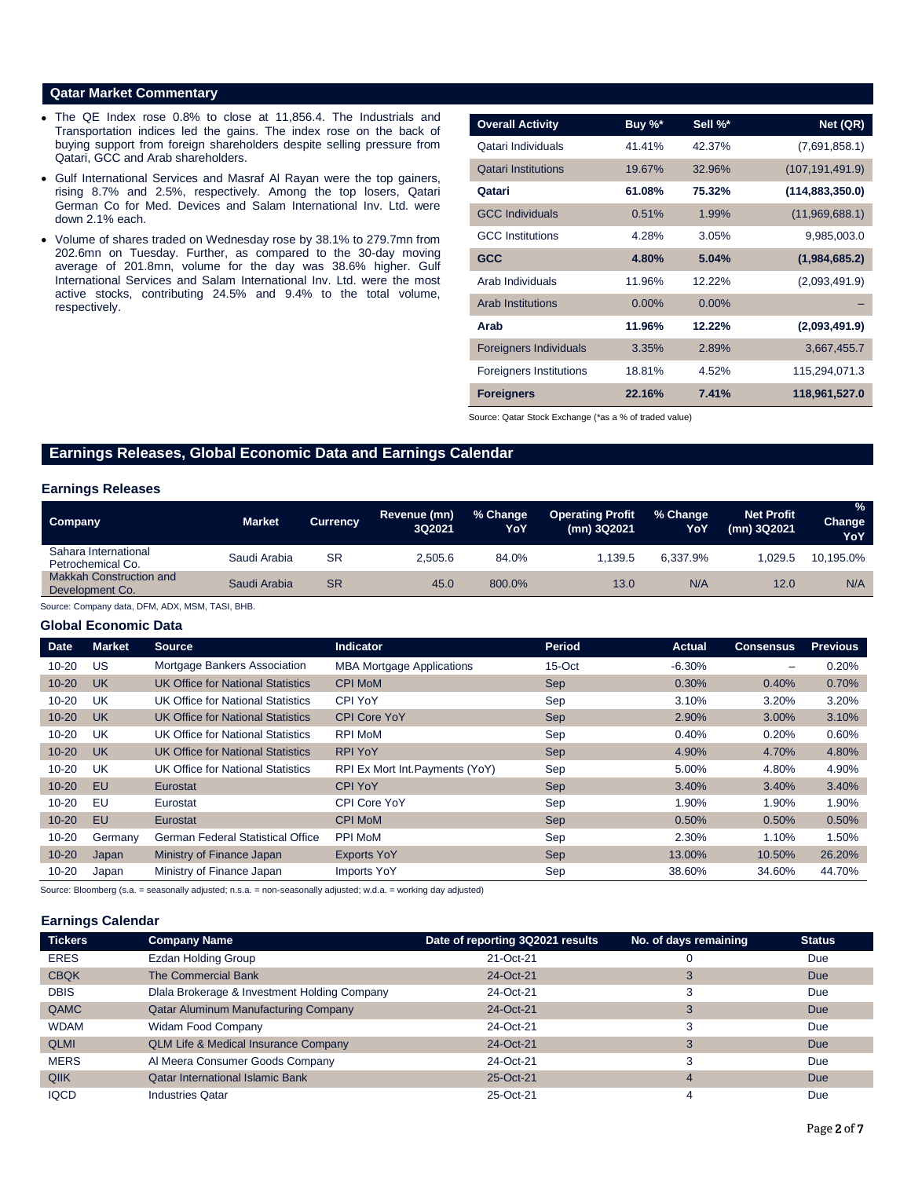# **Qatar Market Commentary**

- The QE Index rose 0.8% to close at 11,856.4. The Industrials and Transportation indices led the gains. The index rose on the back of buying support from foreign shareholders despite selling pressure from Qatari, GCC and Arab shareholders.
- Gulf International Services and Masraf Al Rayan were the top gainers, rising 8.7% and 2.5%, respectively. Among the top losers, Qatari German Co for Med. Devices and Salam International Inv. Ltd. were down 2.1% each.
- Volume of shares traded on Wednesday rose by 38.1% to 279.7mn from 202.6mn on Tuesday. Further, as compared to the 30-day moving average of 201.8mn, volume for the day was 38.6% higher. Gulf International Services and Salam International Inv. Ltd. were the most active stocks, contributing 24.5% and 9.4% to the total volume, respectively.

| <b>Overall Activity</b>        | Buy %*   | Sell %* | Net (QR)          |
|--------------------------------|----------|---------|-------------------|
| Qatari Individuals             | 41.41%   | 42.37%  | (7,691,858.1)     |
| <b>Qatari Institutions</b>     | 19.67%   | 32.96%  | (107, 191, 491.9) |
| Qatari                         | 61.08%   | 75.32%  | (114, 883, 350.0) |
| <b>GCC Individuals</b>         | 0.51%    | 1.99%   | (11,969,688.1)    |
| <b>GCC</b> Institutions        | 4.28%    | 3.05%   | 9,985,003.0       |
| <b>GCC</b>                     | 4.80%    | 5.04%   | (1,984,685.2)     |
| Arab Individuals               | 11.96%   | 12.22%  | (2,093,491.9)     |
| <b>Arab Institutions</b>       | $0.00\%$ | 0.00%   |                   |
| Arab                           | 11.96%   | 12.22%  | (2,093,491.9)     |
| <b>Foreigners Individuals</b>  | 3.35%    | 2.89%   | 3,667,455.7       |
| <b>Foreigners Institutions</b> | 18.81%   | 4.52%   | 115,294,071.3     |
| <b>Foreigners</b>              | 22.16%   | 7.41%   | 118,961,527.0     |

Source: Qatar Stock Exchange (\*as a % of traded value)

# **Earnings Releases, Global Economic Data and Earnings Calendar**

### **Earnings Releases**

| Company                                    | <b>Market</b> | <b>Currency</b> | Revenue (mn)<br>3Q2021 | % Change<br>YoY | <b>Operating Profit</b><br>(mn) 3Q2021 | % Change<br>YoY | <b>Net Profit</b><br>(mn) 3Q2021 | $\frac{9}{6}$<br>Change<br>YoY |
|--------------------------------------------|---------------|-----------------|------------------------|-----------------|----------------------------------------|-----------------|----------------------------------|--------------------------------|
| Sahara International<br>Petrochemical Co.  | Saudi Arabia  | SR              | 2.505.6                | 84.0%           | 1.139.5                                | 6.337.9%        | .029.5                           | 10,195.0%                      |
| Makkah Construction and<br>Development Co. | Saudi Arabia  | <b>SR</b>       | 45.0                   | 800.0%          | 13.0                                   | N/A             | 12.0                             | N/A                            |

Source: Company data, DFM, ADX, MSM, TASI, BHB.

#### **Global Economic Data**

| <b>Date</b> | <b>Market</b> | <b>Source</b>                            | <b>Indicator</b>                 | Period     | Actual   | <b>Consensus</b> | <b>Previous</b> |
|-------------|---------------|------------------------------------------|----------------------------------|------------|----------|------------------|-----------------|
| $10 - 20$   | US            | Mortgage Bankers Association             | <b>MBA Mortgage Applications</b> | 15-Oct     | $-6.30%$ | -                | 0.20%           |
| $10 - 20$   | UK            | UK Office for National Statistics        | <b>CPI MoM</b>                   | <b>Sep</b> | 0.30%    | 0.40%            | 0.70%           |
| $10 - 20$   | UK            | UK Office for National Statistics        | CPI YoY                          | Sep        | 3.10%    | 3.20%            | 3.20%           |
| $10 - 20$   | UK            | UK Office for National Statistics        | <b>CPI Core YoY</b>              | Sep        | 2.90%    | 3.00%            | 3.10%           |
| $10 - 20$   | <b>UK</b>     | UK Office for National Statistics        | <b>RPI MoM</b>                   | Sep        | 0.40%    | 0.20%            | 0.60%           |
| $10 - 20$   | <b>UK</b>     | <b>UK Office for National Statistics</b> | <b>RPI YoY</b>                   | <b>Sep</b> | 4.90%    | 4.70%            | 4.80%           |
| $10 - 20$   | UK            | <b>UK Office for National Statistics</b> | RPI Ex Mort Int. Payments (YoY)  | Sep        | 5.00%    | 4.80%            | 4.90%           |
| $10 - 20$   | EU            | Eurostat                                 | <b>CPI YoY</b>                   | Sep        | 3.40%    | 3.40%            | 3.40%           |
| $10 - 20$   | EU            | Eurostat                                 | CPI Core YoY                     | Sep        | 1.90%    | 1.90%            | 1.90%           |
| $10 - 20$   | EU            | Eurostat                                 | <b>CPI MoM</b>                   | <b>Sep</b> | 0.50%    | 0.50%            | 0.50%           |
| $10 - 20$   | Germany       | <b>German Federal Statistical Office</b> | <b>PPI MoM</b>                   | Sep        | 2.30%    | 1.10%            | 1.50%           |
| $10 - 20$   | Japan         | Ministry of Finance Japan                | <b>Exports YoY</b>               | <b>Sep</b> | 13.00%   | 10.50%           | 26.20%          |
| $10 - 20$   | Japan         | Ministry of Finance Japan                | Imports YoY                      | Sep        | 38.60%   | 34.60%           | 44.70%          |

Source: Bloomberg (s.a. = seasonally adjusted; n.s.a. = non-seasonally adjusted; w.d.a. = working day adjusted)

#### **Earnings Calendar**

| <b>Tickers</b> | <b>Company Name</b>                             | Date of reporting 3Q2021 results | No. of days remaining | <b>Status</b> |
|----------------|-------------------------------------------------|----------------------------------|-----------------------|---------------|
| <b>ERES</b>    | <b>Ezdan Holding Group</b>                      | 21-Oct-21                        |                       | Due           |
| <b>CBQK</b>    | The Commercial Bank                             | 24-Oct-21                        |                       | <b>Due</b>    |
| <b>DBIS</b>    | Diala Brokerage & Investment Holding Company    | 24-Oct-21                        | 3                     | Due           |
| QAMC           | <b>Qatar Aluminum Manufacturing Company</b>     | 24-Oct-21                        |                       | Due           |
| <b>WDAM</b>    | Widam Food Company                              | 24-Oct-21                        | 3                     | Due           |
| <b>QLMI</b>    | <b>QLM Life &amp; Medical Insurance Company</b> | 24-Oct-21                        | 3                     | Due           |
| <b>MERS</b>    | Al Meera Consumer Goods Company                 | 24-Oct-21                        | 3                     | Due           |
| <b>QIIK</b>    | <b>Qatar International Islamic Bank</b>         | 25-Oct-21                        | 4                     | Due           |
| <b>IQCD</b>    | <b>Industries Qatar</b>                         | 25-Oct-21                        |                       | Due           |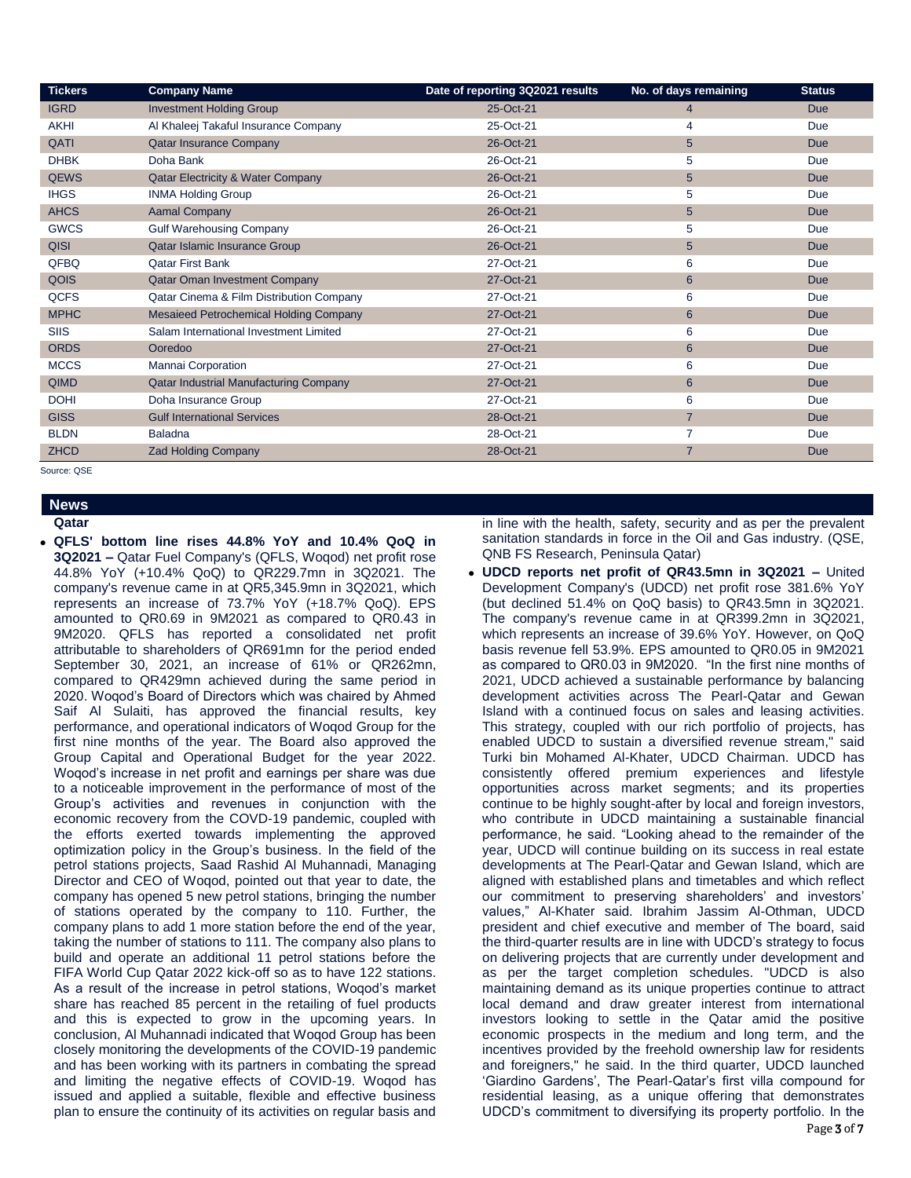| <b>Tickers</b> | <b>Company Name</b>                           | Date of reporting 3Q2021 results | No. of days remaining | <b>Status</b> |
|----------------|-----------------------------------------------|----------------------------------|-----------------------|---------------|
| <b>IGRD</b>    | <b>Investment Holding Group</b>               | 25-Oct-21                        | 4                     | Due           |
| <b>AKHI</b>    | Al Khaleej Takaful Insurance Company          | 25-Oct-21                        | 4                     | Due           |
| QATI           | Qatar Insurance Company                       | 26-Oct-21                        | $5\phantom{.0}$       | <b>Due</b>    |
| <b>DHBK</b>    | Doha Bank                                     | 26-Oct-21                        | 5                     | Due           |
| <b>QEWS</b>    | <b>Qatar Electricity &amp; Water Company</b>  | 26-Oct-21                        | 5                     | <b>Due</b>    |
| <b>IHGS</b>    | <b>INMA Holding Group</b>                     | 26-Oct-21                        | 5                     | Due           |
| <b>AHCS</b>    | <b>Aamal Company</b>                          | 26-Oct-21                        | $\sqrt{5}$            | <b>Due</b>    |
| <b>GWCS</b>    | <b>Gulf Warehousing Company</b>               | 26-Oct-21                        | 5                     | Due           |
| <b>QISI</b>    | Qatar Islamic Insurance Group                 | 26-Oct-21                        | $5\phantom{.0}$       | <b>Due</b>    |
| QFBQ           | <b>Qatar First Bank</b>                       | 27-Oct-21                        | 6                     | Due           |
| <b>QOIS</b>    | <b>Qatar Oman Investment Company</b>          | 27-Oct-21                        | $6\phantom{1}$        | <b>Due</b>    |
| <b>QCFS</b>    | Qatar Cinema & Film Distribution Company      | 27-Oct-21                        | 6                     | Due           |
| <b>MPHC</b>    | <b>Mesaieed Petrochemical Holding Company</b> | 27-Oct-21                        | $6\phantom{1}$        | <b>Due</b>    |
| <b>SIIS</b>    | Salam International Investment Limited        | 27-Oct-21                        | 6                     | Due           |
| <b>ORDS</b>    | Ooredoo                                       | 27-Oct-21                        | 6                     | <b>Due</b>    |
| <b>MCCS</b>    | Mannai Corporation                            | 27-Oct-21                        | 6                     | Due           |
| <b>QIMD</b>    | <b>Qatar Industrial Manufacturing Company</b> | 27-Oct-21                        | 6                     | <b>Due</b>    |
| <b>DOHI</b>    | Doha Insurance Group                          | 27-Oct-21                        | 6                     | Due           |
| <b>GISS</b>    | <b>Gulf International Services</b>            | 28-Oct-21                        | $\overline{7}$        | <b>Due</b>    |
| <b>BLDN</b>    | <b>Baladna</b>                                | 28-Oct-21                        | 7                     | Due           |
| <b>ZHCD</b>    | <b>Zad Holding Company</b>                    | 28-Oct-21                        | $\overline{7}$        | <b>Due</b>    |

Source: QSE

#### **News Qatar**

 **QFLS' bottom line rises 44.8% YoY and 10.4% QoQ in 3Q2021 –** Qatar Fuel Company's (QFLS, Woqod) net profit rose 44.8% YoY (+10.4% QoQ) to QR229.7mn in 3Q2021. The company's revenue came in at QR5,345.9mn in 3Q2021, which represents an increase of 73.7% YoY (+18.7% QoQ). EPS amounted to QR0.69 in 9M2021 as compared to QR0.43 in 9M2020. QFLS has reported a consolidated net profit attributable to shareholders of QR691mn for the period ended September 30, 2021, an increase of 61% or QR262mn, compared to QR429mn achieved during the same period in 2020. Woqod's Board of Directors which was chaired by Ahmed Saif Al Sulaiti, has approved the financial results, key performance, and operational indicators of Woqod Group for the first nine months of the year. The Board also approved the Group Capital and Operational Budget for the year 2022. Woqod's increase in net profit and earnings per share was due to a noticeable improvement in the performance of most of the Group's activities and revenues in conjunction with the economic recovery from the COVD-19 pandemic, coupled with the efforts exerted towards implementing the approved optimization policy in the Group's business. In the field of the petrol stations projects, Saad Rashid Al Muhannadi, Managing Director and CEO of Woqod, pointed out that year to date, the company has opened 5 new petrol stations, bringing the number of stations operated by the company to 110. Further, the company plans to add 1 more station before the end of the year, taking the number of stations to 111. The company also plans to build and operate an additional 11 petrol stations before the FIFA World Cup Qatar 2022 kick-off so as to have 122 stations. As a result of the increase in petrol stations, Woqod's market share has reached 85 percent in the retailing of fuel products and this is expected to grow in the upcoming years. In conclusion, Al Muhannadi indicated that Woqod Group has been closely monitoring the developments of the COVID-19 pandemic and has been working with its partners in combating the spread and limiting the negative effects of COVID-19. Woqod has issued and applied a suitable, flexible and effective business plan to ensure the continuity of its activities on regular basis and

in line with the health, safety, security and as per the prevalent sanitation standards in force in the Oil and Gas industry. (QSE, QNB FS Research, Peninsula Qatar)

 **UDCD reports net profit of QR43.5mn in 3Q2021 –** United Development Company's (UDCD) net profit rose 381.6% YoY (but declined 51.4% on QoQ basis) to QR43.5mn in 3Q2021. The company's revenue came in at QR399.2mn in 3Q2021, which represents an increase of 39.6% YoY. However, on QoQ basis revenue fell 53.9%. EPS amounted to QR0.05 in 9M2021 as compared to QR0.03 in 9M2020. "In the first nine months of 2021, UDCD achieved a sustainable performance by balancing development activities across The Pearl-Qatar and Gewan Island with a continued focus on sales and leasing activities. This strategy, coupled with our rich portfolio of projects, has enabled UDCD to sustain a diversified revenue stream," said Turki bin Mohamed Al-Khater, UDCD Chairman. UDCD has consistently offered premium experiences and lifestyle opportunities across market segments; and its properties continue to be highly sought-after by local and foreign investors, who contribute in UDCD maintaining a sustainable financial performance, he said. "Looking ahead to the remainder of the year, UDCD will continue building on its success in real estate developments at The Pearl-Qatar and Gewan Island, which are aligned with established plans and timetables and which reflect our commitment to preserving shareholders' and investors' values," Al-Khater said. Ibrahim Jassim Al-Othman, UDCD president and chief executive and member of The board, said the third-quarter results are in line with UDCD's strategy to focus on delivering projects that are currently under development and as per the target completion schedules. "UDCD is also maintaining demand as its unique properties continue to attract local demand and draw greater interest from international investors looking to settle in the Qatar amid the positive economic prospects in the medium and long term, and the incentives provided by the freehold ownership law for residents and foreigners," he said. In the third quarter, UDCD launched 'Giardino Gardens', The Pearl-Qatar's first villa compound for residential leasing, as a unique offering that demonstrates UDCD's commitment to diversifying its property portfolio. In the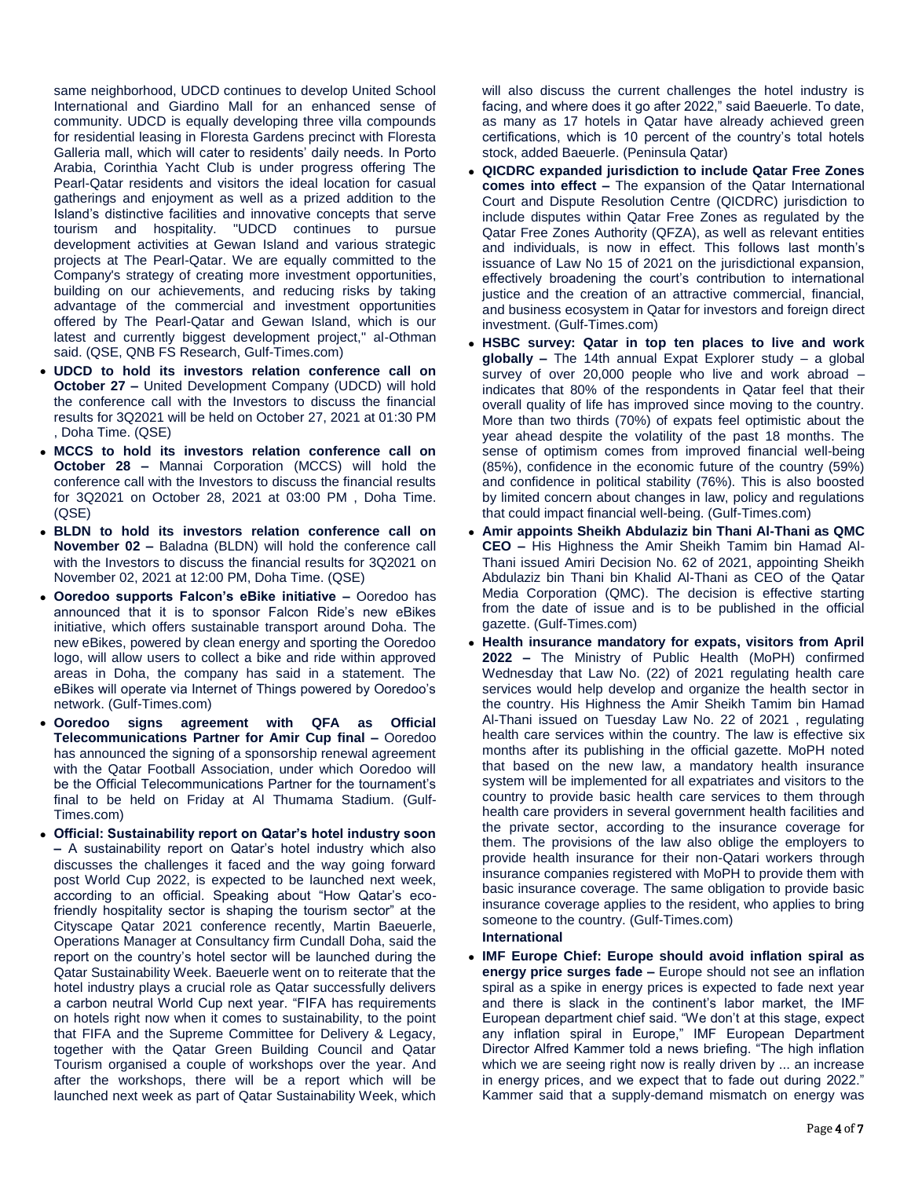same neighborhood, UDCD continues to develop United School International and Giardino Mall for an enhanced sense of community. UDCD is equally developing three villa compounds for residential leasing in Floresta Gardens precinct with Floresta Galleria mall, which will cater to residents' daily needs. In Porto Arabia, Corinthia Yacht Club is under progress offering The Pearl-Qatar residents and visitors the ideal location for casual gatherings and enjoyment as well as a prized addition to the Island's distinctive facilities and innovative concepts that serve tourism and hospitality. "UDCD continues to pursue development activities at Gewan Island and various strategic projects at The Pearl-Qatar. We are equally committed to the Company's strategy of creating more investment opportunities, building on our achievements, and reducing risks by taking advantage of the commercial and investment opportunities offered by The Pearl-Qatar and Gewan Island, which is our latest and currently biggest development project," al-Othman said. (QSE, QNB FS Research, Gulf-Times.com)

- **UDCD to hold its investors relation conference call on October 27 –** United Development Company (UDCD) will hold the conference call with the Investors to discuss the financial results for 3Q2021 will be held on October 27, 2021 at 01:30 PM , Doha Time. (QSE)
- **MCCS to hold its investors relation conference call on October 28 –** Mannai Corporation (MCCS) will hold the conference call with the Investors to discuss the financial results for 3Q2021 on October 28, 2021 at 03:00 PM , Doha Time. (QSE)
- **BLDN to hold its investors relation conference call on November 02 –** Baladna (BLDN) will hold the conference call with the Investors to discuss the financial results for 3Q2021 on November 02, 2021 at 12:00 PM, Doha Time. (QSE)
- **Ooredoo supports Falcon's eBike initiative –** Ooredoo has announced that it is to sponsor Falcon Ride's new eBikes initiative, which offers sustainable transport around Doha. The new eBikes, powered by clean energy and sporting the Ooredoo logo, will allow users to collect a bike and ride within approved areas in Doha, the company has said in a statement. The eBikes will operate via Internet of Things powered by Ooredoo's network. (Gulf-Times.com)
- **Ooredoo signs agreement with QFA as Official Telecommunications Partner for Amir Cup final –** Ooredoo has announced the signing of a sponsorship renewal agreement with the Qatar Football Association, under which Ooredoo will be the Official Telecommunications Partner for the tournament's final to be held on Friday at Al Thumama Stadium. (Gulf-Times.com)
- **Official: Sustainability report on Qatar's hotel industry soon –** A sustainability report on Qatar's hotel industry which also discusses the challenges it faced and the way going forward post World Cup 2022, is expected to be launched next week, according to an official. Speaking about "How Qatar's ecofriendly hospitality sector is shaping the tourism sector" at the Cityscape Qatar 2021 conference recently, Martin Baeuerle, Operations Manager at Consultancy firm Cundall Doha, said the report on the country's hotel sector will be launched during the Qatar Sustainability Week. Baeuerle went on to reiterate that the hotel industry plays a crucial role as Qatar successfully delivers a carbon neutral World Cup next year. "FIFA has requirements on hotels right now when it comes to sustainability, to the point that FIFA and the Supreme Committee for Delivery & Legacy, together with the Qatar Green Building Council and Qatar Tourism organised a couple of workshops over the year. And after the workshops, there will be a report which will be launched next week as part of Qatar Sustainability Week, which

will also discuss the current challenges the hotel industry is facing, and where does it go after 2022," said Baeuerle. To date, as many as 17 hotels in Qatar have already achieved green certifications, which is 10 percent of the country's total hotels stock, added Baeuerle. (Peninsula Qatar)

- **QICDRC expanded jurisdiction to include Qatar Free Zones comes into effect –** The expansion of the Qatar International Court and Dispute Resolution Centre (QICDRC) jurisdiction to include disputes within Qatar Free Zones as regulated by the Qatar Free Zones Authority (QFZA), as well as relevant entities and individuals, is now in effect. This follows last month's issuance of Law No 15 of 2021 on the jurisdictional expansion, effectively broadening the court's contribution to international justice and the creation of an attractive commercial, financial, and business ecosystem in Qatar for investors and foreign direct investment. (Gulf-Times.com)
- **HSBC survey: Qatar in top ten places to live and work globally –** The 14th annual Expat Explorer study – a global survey of over 20,000 people who live and work abroad – indicates that 80% of the respondents in Qatar feel that their overall quality of life has improved since moving to the country. More than two thirds (70%) of expats feel optimistic about the year ahead despite the volatility of the past 18 months. The sense of optimism comes from improved financial well-being (85%), confidence in the economic future of the country (59%) and confidence in political stability (76%). This is also boosted by limited concern about changes in law, policy and regulations that could impact financial well-being. (Gulf-Times.com)
- **Amir appoints Sheikh Abdulaziz bin Thani Al-Thani as QMC CEO –** His Highness the Amir Sheikh Tamim bin Hamad Al-Thani issued Amiri Decision No. 62 of 2021, appointing Sheikh Abdulaziz bin Thani bin Khalid Al-Thani as CEO of the Qatar Media Corporation (QMC). The decision is effective starting from the date of issue and is to be published in the official gazette. (Gulf-Times.com)
- **Health insurance mandatory for expats, visitors from April 2022 –** The Ministry of Public Health (MoPH) confirmed Wednesday that Law No. (22) of 2021 regulating health care services would help develop and organize the health sector in the country. His Highness the Amir Sheikh Tamim bin Hamad Al-Thani issued on Tuesday Law No. 22 of 2021 , regulating health care services within the country. The law is effective six months after its publishing in the official gazette. MoPH noted that based on the new law, a mandatory health insurance system will be implemented for all expatriates and visitors to the country to provide basic health care services to them through health care providers in several government health facilities and the private sector, according to the insurance coverage for them. The provisions of the law also oblige the employers to provide health insurance for their non-Qatari workers through insurance companies registered with MoPH to provide them with basic insurance coverage. The same obligation to provide basic insurance coverage applies to the resident, who applies to bring someone to the country. (Gulf-Times.com)
	- **International**
- **IMF Europe Chief: Europe should avoid inflation spiral as energy price surges fade –** Europe should not see an inflation spiral as a spike in energy prices is expected to fade next year and there is slack in the continent's labor market, the IMF European department chief said. "We don't at this stage, expect any inflation spiral in Europe," IMF European Department Director Alfred Kammer told a news briefing. "The high inflation which we are seeing right now is really driven by ... an increase in energy prices, and we expect that to fade out during 2022." Kammer said that a supply-demand mismatch on energy was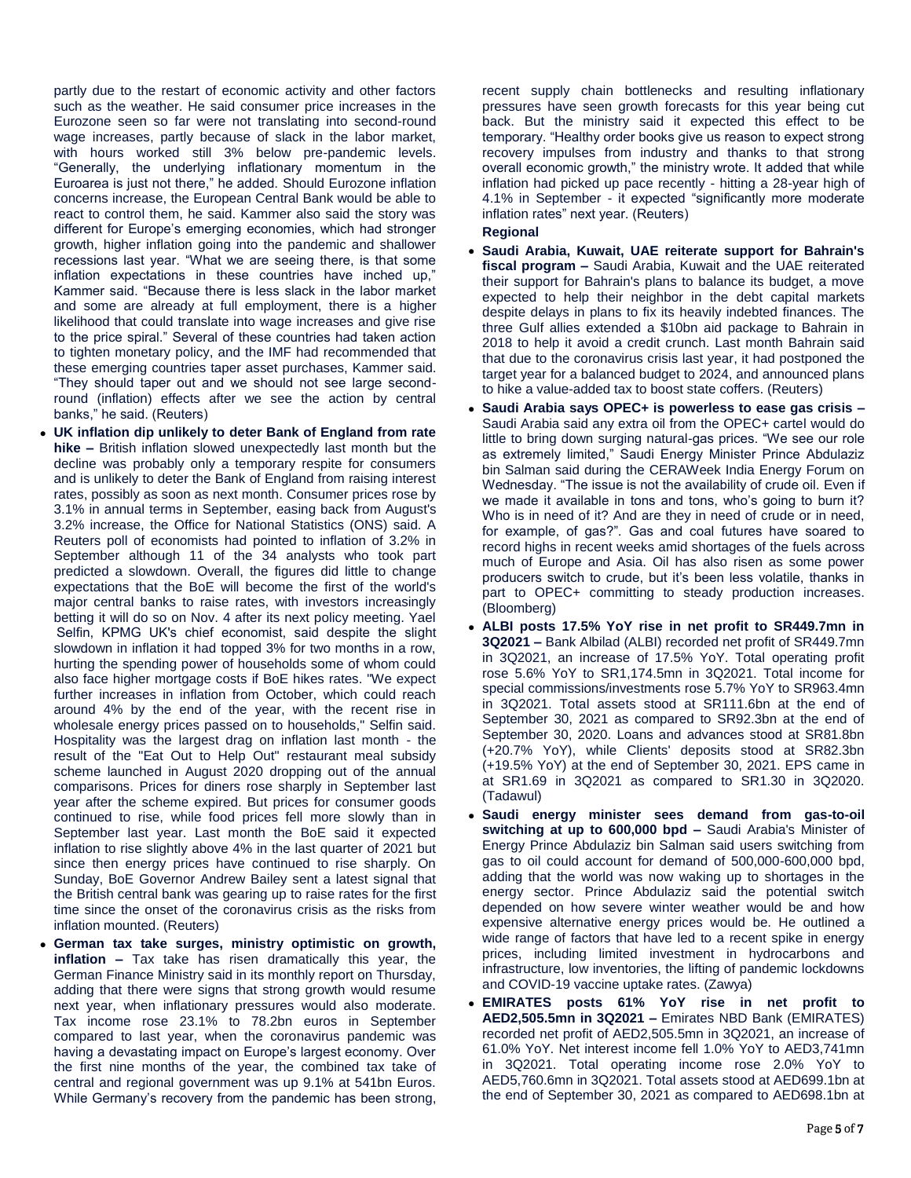partly due to the restart of economic activity and other factors such as the weather. He said consumer price increases in the Eurozone seen so far were not translating into second-round wage increases, partly because of slack in the labor market, with hours worked still 3% below pre-pandemic levels. "Generally, the underlying inflationary momentum in the Euroarea is just not there," he added. Should Eurozone inflation concerns increase, the European Central Bank would be able to react to control them, he said. Kammer also said the story was different for Europe's emerging economies, which had stronger growth, higher inflation going into the pandemic and shallower recessions last year. "What we are seeing there, is that some inflation expectations in these countries have inched up," Kammer said. "Because there is less slack in the labor market and some are already at full employment, there is a higher likelihood that could translate into wage increases and give rise to the price spiral." Several of these countries had taken action to tighten monetary policy, and the IMF had recommended that these emerging countries taper asset purchases, Kammer said. "They should taper out and we should not see large secondround (inflation) effects after we see the action by central banks," he said. (Reuters)

- **UK inflation dip unlikely to deter Bank of England from rate hike –** British inflation slowed unexpectedly last month but the decline was probably only a temporary respite for consumers and is unlikely to deter the Bank of England from raising interest rates, possibly as soon as next month. Consumer prices rose by 3.1% in annual terms in September, easing back from August's 3.2% increase, the Office for National Statistics (ONS) said. A Reuters poll of economists had pointed to inflation of 3.2% in September although 11 of the 34 analysts who took part predicted a slowdown. Overall, the figures did little to change expectations that the BoE will become the first of the world's major central banks to raise rates, with investors increasingly betting it will do so on Nov. 4 after its next policy meeting. Yael  Selfin, KPMG UK's chief economist, said despite the slight slowdown in inflation it had topped 3% for two months in a row, hurting the spending power of households some of whom could also face higher mortgage costs if BoE hikes rates. "We expect further increases in inflation from October, which could reach around 4% by the end of the year, with the recent rise in wholesale energy prices passed on to households," Selfin said. Hospitality was the largest drag on inflation last month - the result of the "Eat Out to Help Out" restaurant meal subsidy scheme launched in August 2020 dropping out of the annual comparisons. Prices for diners rose sharply in September last year after the scheme expired. But prices for consumer goods continued to rise, while food prices fell more slowly than in September last year. Last month the BoE said it expected inflation to rise slightly above 4% in the last quarter of 2021 but since then energy prices have continued to rise sharply. On Sunday, BoE Governor Andrew Bailey sent a latest signal that the British central bank was gearing up to raise rates for the first time since the onset of the coronavirus crisis as the risks from inflation mounted. (Reuters)
- **German tax take surges, ministry optimistic on growth, inflation –** Tax take has risen dramatically this year, the German Finance Ministry said in its monthly report on Thursday, adding that there were signs that strong growth would resume next year, when inflationary pressures would also moderate. Tax income rose 23.1% to 78.2bn euros in September compared to last year, when the coronavirus pandemic was having a devastating impact on Europe's largest economy. Over the first nine months of the year, the combined tax take of central and regional government was up 9.1% at 541bn Euros. While Germany's recovery from the pandemic has been strong,

recent supply chain bottlenecks and resulting inflationary pressures have seen growth forecasts for this year being cut back. But the ministry said it expected this effect to be temporary. "Healthy order books give us reason to expect strong recovery impulses from industry and thanks to that strong overall economic growth," the ministry wrote. It added that while inflation had picked up pace recently - hitting a 28-year high of 4.1% in September - it expected "significantly more moderate inflation rates" next year. (Reuters)

#### **Regional**

- **Saudi Arabia, Kuwait, UAE reiterate support for Bahrain's fiscal program –** Saudi Arabia, Kuwait and the UAE reiterated their support for Bahrain's plans to balance its budget, a move expected to help their neighbor in the debt capital markets despite delays in plans to fix its heavily indebted finances. The three Gulf allies extended a \$10bn aid package to Bahrain in 2018 to help it avoid a credit crunch. Last month Bahrain said that due to the coronavirus crisis last year, it had postponed the target year for a balanced budget to 2024, and announced plans to hike a value-added tax to boost state coffers. (Reuters)
- **Saudi Arabia says OPEC+ is powerless to ease gas crisis –** Saudi Arabia said any extra oil from the OPEC+ cartel would do little to bring down surging natural-gas prices. "We see our role as extremely limited," Saudi Energy Minister Prince Abdulaziz bin Salman said during the CERAWeek India Energy Forum on Wednesday. "The issue is not the availability of crude oil. Even if we made it available in tons and tons, who's going to burn it? Who is in need of it? And are they in need of crude or in need, for example, of gas?". Gas and coal futures have soared to record highs in recent weeks amid shortages of the fuels across much of Europe and Asia. Oil has also risen as some power producers switch to crude, but it's been less volatile, thanks in part to OPEC+ committing to steady production increases. (Bloomberg)
- **ALBI posts 17.5% YoY rise in net profit to SR449.7mn in 3Q2021 –** Bank Albilad (ALBI) recorded net profit of SR449.7mn in 3Q2021, an increase of 17.5% YoY. Total operating profit rose 5.6% YoY to SR1,174.5mn in 3Q2021. Total income for special commissions/investments rose 5.7% YoY to SR963.4mn in 3Q2021. Total assets stood at SR111.6bn at the end of September 30, 2021 as compared to SR92.3bn at the end of September 30, 2020. Loans and advances stood at SR81.8bn (+20.7% YoY), while Clients' deposits stood at SR82.3bn (+19.5% YoY) at the end of September 30, 2021. EPS came in at SR1.69 in 3Q2021 as compared to SR1.30 in 3Q2020. (Tadawul)
- **Saudi energy minister sees demand from gas-to-oil switching at up to 600,000 bpd –** Saudi Arabia's Minister of Energy Prince Abdulaziz bin Salman said users switching from gas to oil could account for demand of 500,000-600,000 bpd, adding that the world was now waking up to shortages in the energy sector. Prince Abdulaziz said the potential switch depended on how severe winter weather would be and how expensive alternative energy prices would be. He outlined a wide range of factors that have led to a recent spike in energy prices, including limited investment in hydrocarbons and infrastructure, low inventories, the lifting of pandemic lockdowns and COVID-19 vaccine uptake rates. (Zawya)
- **EMIRATES posts 61% YoY rise in net profit to AED2,505.5mn in 3Q2021 –** Emirates NBD Bank (EMIRATES) recorded net profit of AED2,505.5mn in 3Q2021, an increase of 61.0% YoY. Net interest income fell 1.0% YoY to AED3,741mn in 3Q2021. Total operating income rose 2.0% YoY to AED5,760.6mn in 3Q2021. Total assets stood at AED699.1bn at the end of September 30, 2021 as compared to AED698.1bn at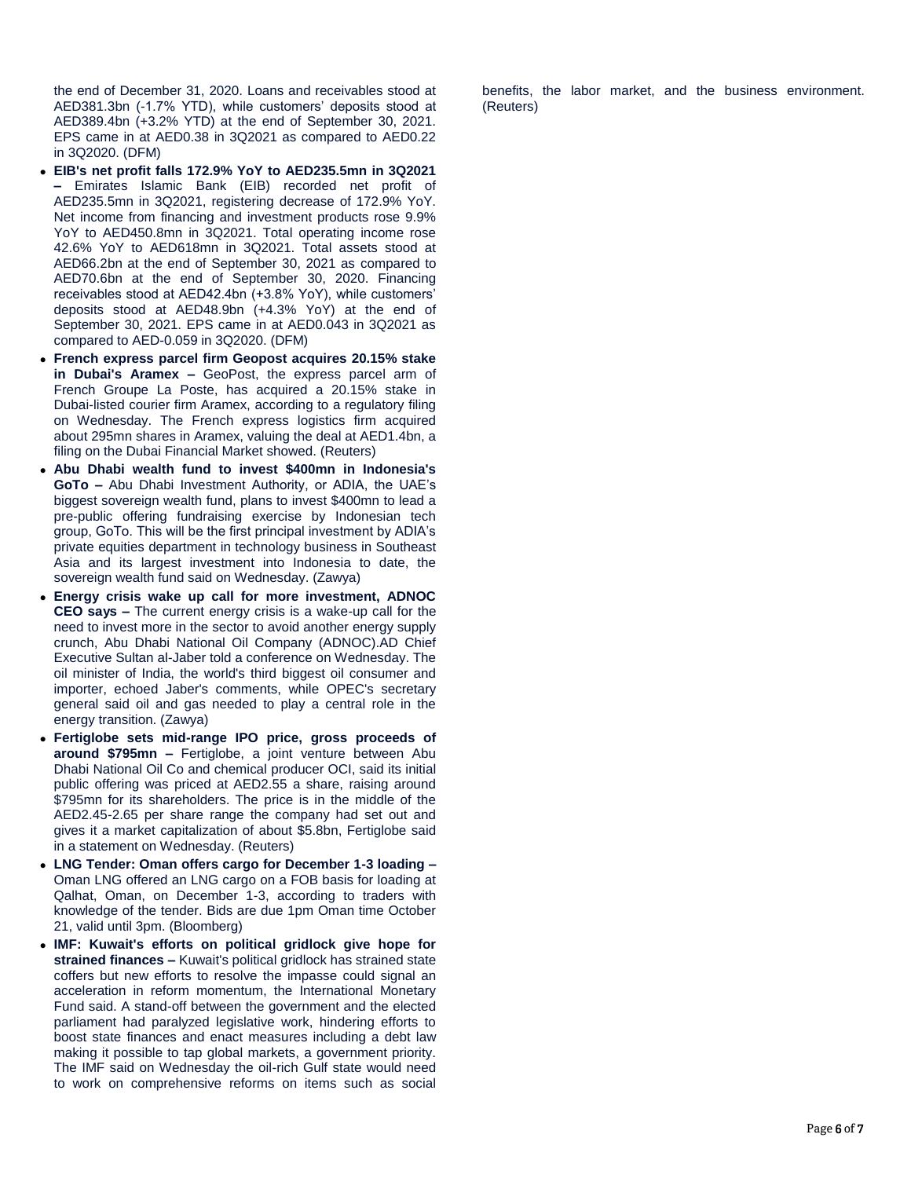the end of December 31, 2020. Loans and receivables stood at AED381.3bn (-1.7% YTD), while customers' deposits stood at AED389.4bn (+3.2% YTD) at the end of September 30, 2021. EPS came in at AED0.38 in 3Q2021 as compared to AED0.22 in 3Q2020. (DFM)

- **EIB's net profit falls 172.9% YoY to AED235.5mn in 3Q2021 –** Emirates Islamic Bank (EIB) recorded net profit of AED235.5mn in 3Q2021, registering decrease of 172.9% YoY. Net income from financing and investment products rose 9.9% YoY to AED450.8mn in 3Q2021. Total operating income rose 42.6% YoY to AED618mn in 3Q2021. Total assets stood at AED66.2bn at the end of September 30, 2021 as compared to AED70.6bn at the end of September 30, 2020. Financing receivables stood at AED42.4bn (+3.8% YoY), while customers' deposits stood at AED48.9bn (+4.3% YoY) at the end of September 30, 2021. EPS came in at AED0.043 in 3Q2021 as compared to AED-0.059 in 3Q2020. (DFM)
- **French express parcel firm Geopost acquires 20.15% stake in Dubai's Aramex –** GeoPost, the express parcel arm of French Groupe La Poste, has acquired a 20.15% stake in Dubai-listed courier firm Aramex, according to a regulatory filing on Wednesday. The French express logistics firm acquired about 295mn shares in Aramex, valuing the deal at AED1.4bn, a filing on the Dubai Financial Market showed. (Reuters)
- **Abu Dhabi wealth fund to invest \$400mn in Indonesia's GoTo –** Abu Dhabi Investment Authority, or ADIA, the UAE's biggest sovereign wealth fund, plans to invest \$400mn to lead a pre-public offering fundraising exercise by Indonesian tech group, GoTo. This will be the first principal investment by ADIA's private equities department in technology business in Southeast Asia and its largest investment into Indonesia to date, the sovereign wealth fund said on Wednesday. (Zawya)
- **Energy crisis wake up call for more investment, ADNOC CEO says –** The current energy crisis is a wake-up call for the need to invest more in the sector to avoid another energy supply crunch, Abu Dhabi National Oil Company (ADNOC).AD Chief Executive Sultan al-Jaber told a conference on Wednesday. The oil minister of India, the world's third biggest oil consumer and importer, echoed Jaber's comments, while OPEC's secretary general said oil and gas needed to play a central role in the energy transition. (Zawya)
- **Fertiglobe sets mid-range IPO price, gross proceeds of around \$795mn –** Fertiglobe, a joint venture between Abu Dhabi National Oil Co and chemical producer OCI, said its initial public offering was priced at AED2.55 a share, raising around \$795mn for its shareholders. The price is in the middle of the AED2.45-2.65 per share range the company had set out and gives it a market capitalization of about \$5.8bn, Fertiglobe said in a statement on Wednesday. (Reuters)
- **LNG Tender: Oman offers cargo for December 1-3 loading –** Oman LNG offered an LNG cargo on a FOB basis for loading at Qalhat, Oman, on December 1-3, according to traders with knowledge of the tender. Bids are due 1pm Oman time October 21, valid until 3pm. (Bloomberg)
- **IMF: Kuwait's efforts on political gridlock give hope for strained finances –** Kuwait's political gridlock has strained state coffers but new efforts to resolve the impasse could signal an acceleration in reform momentum, the International Monetary Fund said. A stand-off between the government and the elected parliament had paralyzed legislative work, hindering efforts to boost state finances and enact measures including a debt law making it possible to tap global markets, a government priority. The IMF said on Wednesday the oil-rich Gulf state would need to work on comprehensive reforms on items such as social

benefits, the labor market, and the business environment. (Reuters)